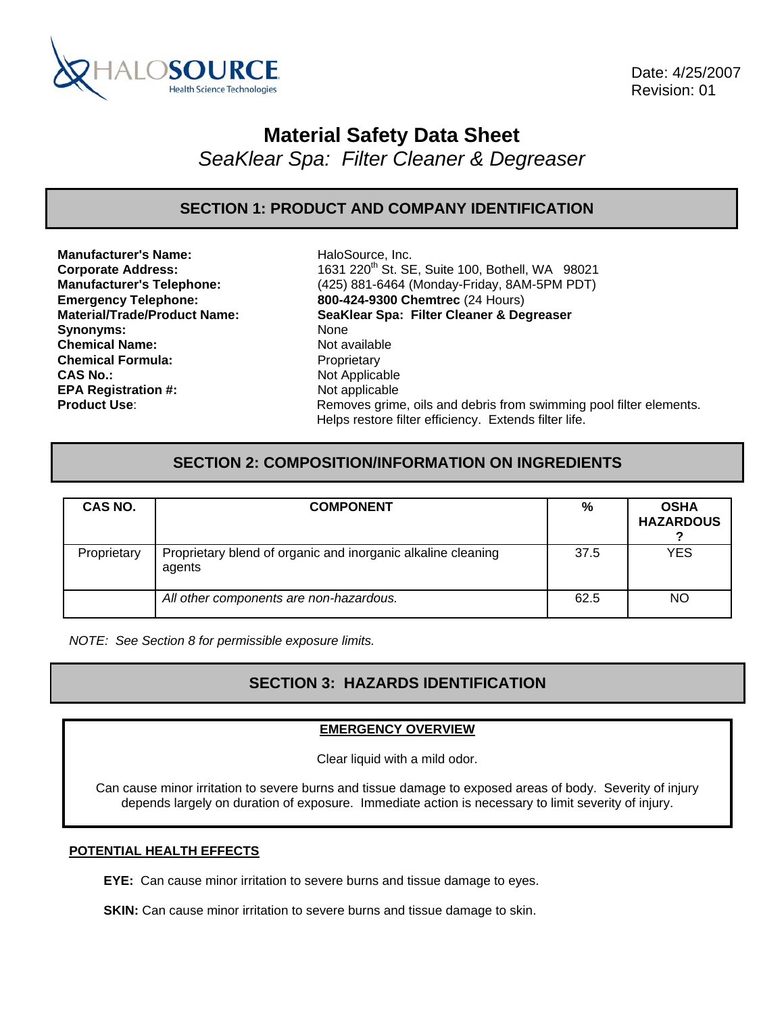

 Date: 4/25/2007 Revision: 01

# **Material Safety Data Sheet**

*SeaKlear Spa: Filter Cleaner & Degreaser* 

**SECTION 1: PRODUCT AND COMPANY IDENTIFICATION** 

**Manufacturer's Name:** HaloSource, Inc. Synonyms: None **Chemical Name:** Not available **Chemical Formula:** Proprietary **CAS No.:** Not Applicable **EPA Registration #:** Not applicable

**Corporate Address:** 1631 220th St. SE, Suite 100, Bothell, WA 98021 **Manufacturer's Telephone:** (425) 881-6464 (Monday-Friday, 8AM-5PM PDT) **Emergency Telephone: 800-424-9300 Chemtrec** (24 Hours) **Material/Trade/Product Name: SeaKlear Spa: Filter Cleaner & Degreaser Product Use:** Removes grime, oils and debris from swimming pool filter elements. Helps restore filter efficiency. Extends filter life.

## **SECTION 2: COMPOSITION/INFORMATION ON INGREDIENTS**

| CAS NO.     | <b>COMPONENT</b>                                                       | %    | <b>OSHA</b><br><b>HAZARDOUS</b> |
|-------------|------------------------------------------------------------------------|------|---------------------------------|
| Proprietary | Proprietary blend of organic and inorganic alkaline cleaning<br>agents | 37.5 | YES                             |
|             | All other components are non-hazardous.                                | 62.5 | NO                              |

*NOTE: See Section 8 for permissible exposure limits.* 

# **SECTION 3: HAZARDS IDENTIFICATION**

### **EMERGENCY OVERVIEW**

Clear liquid with a mild odor.

Can cause minor irritation to severe burns and tissue damage to exposed areas of body. Severity of injury depends largely on duration of exposure. Immediate action is necessary to limit severity of injury.

#### **POTENTIAL HEALTH EFFECTS**

**EYE:** Can cause minor irritation to severe burns and tissue damage to eyes.

**SKIN:** Can cause minor irritation to severe burns and tissue damage to skin.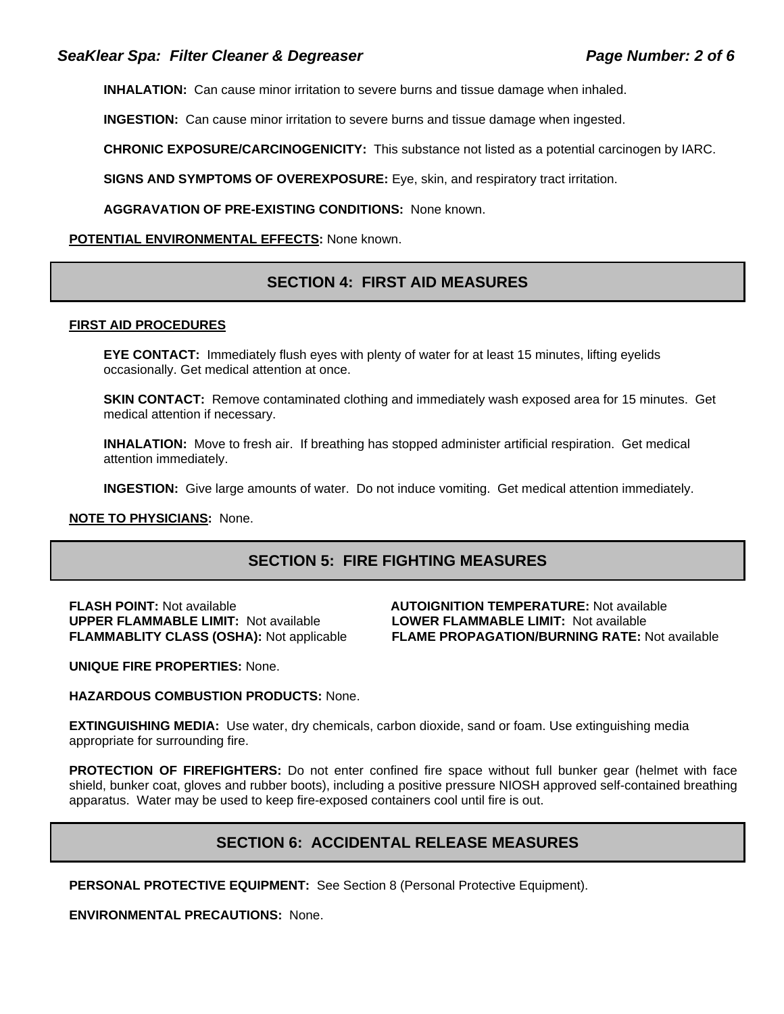**INHALATION:** Can cause minor irritation to severe burns and tissue damage when inhaled.

**INGESTION:** Can cause minor irritation to severe burns and tissue damage when ingested.

**CHRONIC EXPOSURE/CARCINOGENICITY:** This substance not listed as a potential carcinogen by IARC.

**SIGNS AND SYMPTOMS OF OVEREXPOSURE:** Eye, skin, and respiratory tract irritation.

**AGGRAVATION OF PRE-EXISTING CONDITIONS:** None known.

#### **POTENTIAL ENVIRONMENTAL EFFECTS:** None known.

## **SECTION 4: FIRST AID MEASURES**

#### **FIRST AID PROCEDURES**

**EYE CONTACT:** Immediately flush eyes with plenty of water for at least 15 minutes, lifting eyelids occasionally. Get medical attention at once.

**SKIN CONTACT:** Remove contaminated clothing and immediately wash exposed area for 15 minutes. Get medical attention if necessary.

**INHALATION:** Move to fresh air. If breathing has stopped administer artificial respiration. Get medical attention immediately.

**INGESTION:** Give large amounts of water. Do not induce vomiting. Get medical attention immediately.

#### **NOTE TO PHYSICIANS:** None.

## **SECTION 5: FIRE FIGHTING MEASURES**

**UPPER FLAMMABLE LIMIT:** Not available **LOWER FLAMMABLE LIMIT:** Not available

# **FLASH POINT:** Not available **AUTOIGNITION TEMPERATURE:** Not available **FLAMMABLITY CLASS (OSHA):** Not applicable **FLAME PROPAGATION/BURNING RATE:** Not available

**UNIQUE FIRE PROPERTIES:** None.

**HAZARDOUS COMBUSTION PRODUCTS:** None.

**EXTINGUISHING MEDIA:** Use water, dry chemicals, carbon dioxide, sand or foam. Use extinguishing media appropriate for surrounding fire.

**PROTECTION OF FIREFIGHTERS:** Do not enter confined fire space without full bunker gear (helmet with face shield, bunker coat, gloves and rubber boots), including a positive pressure NIOSH approved self-contained breathing apparatus. Water may be used to keep fire-exposed containers cool until fire is out.

## **SECTION 6: ACCIDENTAL RELEASE MEASURES**

**PERSONAL PROTECTIVE EQUIPMENT:** See Section 8 (Personal Protective Equipment).

**ENVIRONMENTAL PRECAUTIONS:** None.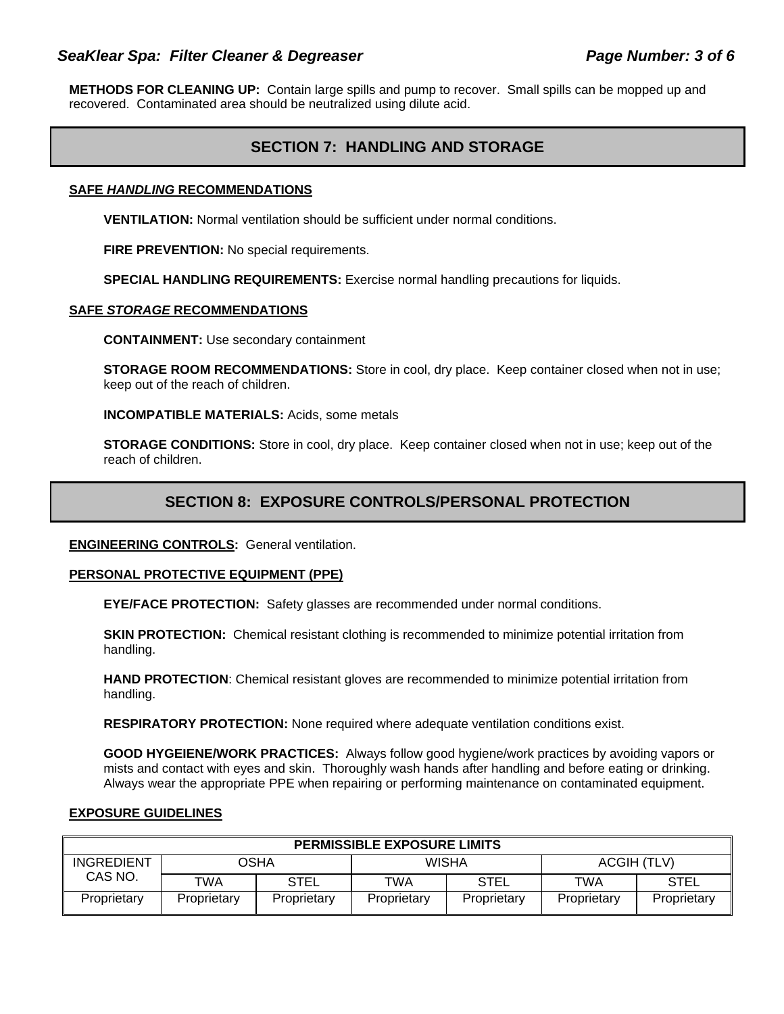### SeaKlear Spa: Filter Cleaner & Degreaser **Page Number: 3 of 6** and Page Number: 3 of 6

**METHODS FOR CLEANING UP:** Contain large spills and pump to recover. Small spills can be mopped up and recovered. Contaminated area should be neutralized using dilute acid.

## **SECTION 7: HANDLING AND STORAGE**

#### **SAFE** *HANDLING* **RECOMMENDATIONS**

**VENTILATION:** Normal ventilation should be sufficient under normal conditions.

**FIRE PREVENTION:** No special requirements.

**SPECIAL HANDLING REQUIREMENTS:** Exercise normal handling precautions for liquids.

#### **SAFE** *STORAGE* **RECOMMENDATIONS**

**CONTAINMENT:** Use secondary containment

**STORAGE ROOM RECOMMENDATIONS:** Store in cool, dry place. Keep container closed when not in use; keep out of the reach of children.

**INCOMPATIBLE MATERIALS:** Acids, some metals

**STORAGE CONDITIONS:** Store in cool, dry place. Keep container closed when not in use; keep out of the reach of children.

## **SECTION 8: EXPOSURE CONTROLS/PERSONAL PROTECTION**

#### **ENGINEERING CONTROLS:** General ventilation.

#### **PERSONAL PROTECTIVE EQUIPMENT (PPE)**

**EYE/FACE PROTECTION:** Safety glasses are recommended under normal conditions.

**SKIN PROTECTION:** Chemical resistant clothing is recommended to minimize potential irritation from handling.

**HAND PROTECTION**: Chemical resistant gloves are recommended to minimize potential irritation from handling.

**RESPIRATORY PROTECTION:** None required where adequate ventilation conditions exist.

**GOOD HYGEIENE/WORK PRACTICES:** Always follow good hygiene/work practices by avoiding vapors or mists and contact with eyes and skin. Thoroughly wash hands after handling and before eating or drinking. Always wear the appropriate PPE when repairing or performing maintenance on contaminated equipment.

#### **EXPOSURE GUIDELINES**

| <b>PERMISSIBLE EXPOSURE LIMITS</b> |             |             |             |             |             |             |
|------------------------------------|-------------|-------------|-------------|-------------|-------------|-------------|
| <b>INGREDIENT</b>                  | OSHA        |             | WISHA       |             | ACGIH (TLV) |             |
| CAS NO.                            | TWA         | <b>STEL</b> | TWA         | <b>STEL</b> | TWA         | <b>STEL</b> |
| Proprietary                        | Proprietary | Proprietary | Proprietary | Proprietary | Proprietary | Proprietary |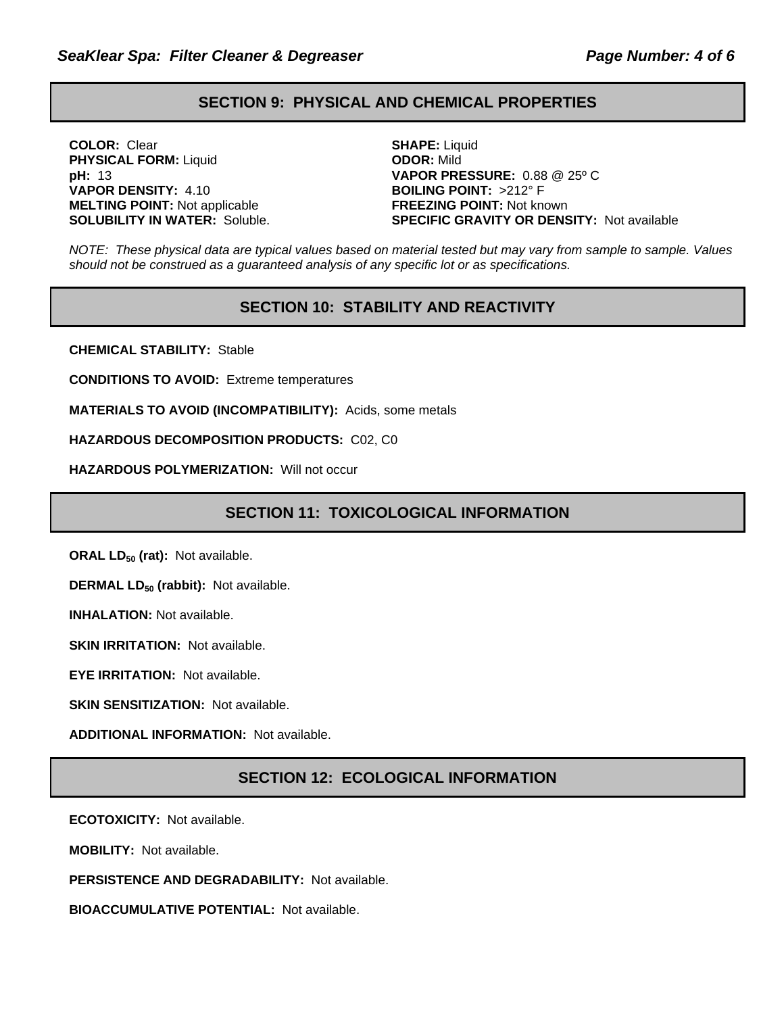## **SECTION 9: PHYSICAL AND CHEMICAL PROPERTIES**

**COLOR:** Clear **SHAPE:** Liquid **PHYSICAL FORM:** Liquid **ODOR:** Mild **VAPOR DENSITY:** 4.10 **BOILING POINT:** >212° F **MELTING POINT:** Not applicable **FREEZING POINT:** Not known

**pH:** 13 **VAPOR PRESSURE:** 0.88 @ 25º C **SOLUBILITY IN WATER:** Soluble. **SPECIFIC GRAVITY OR DENSITY:** Not available

*NOTE: These physical data are typical values based on material tested but may vary from sample to sample. Values should not be construed as a guaranteed analysis of any specific lot or as specifications.*

## **SECTION 10: STABILITY AND REACTIVITY**

**CHEMICAL STABILITY:** Stable

**CONDITIONS TO AVOID:** Extreme temperatures

**MATERIALS TO AVOID (INCOMPATIBILITY):** Acids, some metals

**HAZARDOUS DECOMPOSITION PRODUCTS:** C02, C0

**HAZARDOUS POLYMERIZATION:** Will not occur

## **SECTION 11: TOXICOLOGICAL INFORMATION**

**ORAL LD<sub>50</sub> (rat):** Not available.

**DERMAL LD<sub>50</sub> (rabbit):** Not available.

**INHALATION:** Not available.

**SKIN IRRITATION: Not available.** 

**EYE IRRITATION:** Not available.

**SKIN SENSITIZATION: Not available.** 

**ADDITIONAL INFORMATION:** Not available.

## **SECTION 12: ECOLOGICAL INFORMATION**

**ECOTOXICITY:** Not available.

**MOBILITY:** Not available.

**PERSISTENCE AND DEGRADABILITY:** Not available.

**BIOACCUMULATIVE POTENTIAL:** Not available.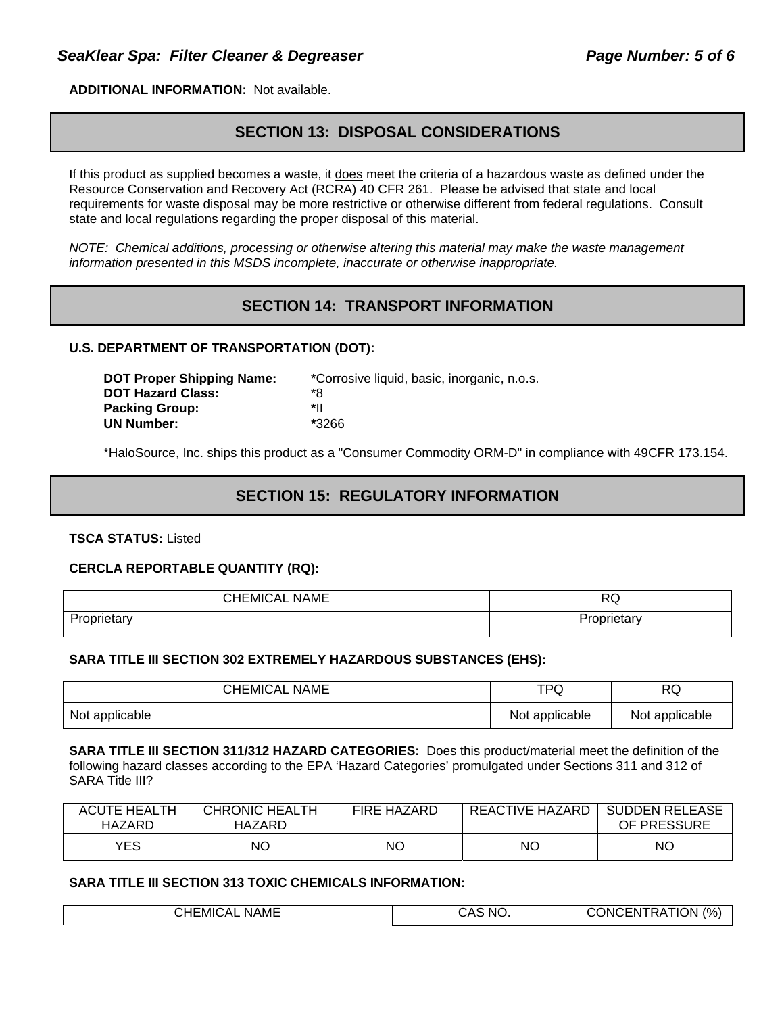**ADDITIONAL INFORMATION:** Not available.

## **SECTION 13: DISPOSAL CONSIDERATIONS**

If this product as supplied becomes a waste, it does meet the criteria of a hazardous waste as defined under the Resource Conservation and Recovery Act (RCRA) 40 CFR 261. Please be advised that state and local requirements for waste disposal may be more restrictive or otherwise different from federal regulations. Consult state and local regulations regarding the proper disposal of this material.

*NOTE: Chemical additions, processing or otherwise altering this material may make the waste management information presented in this MSDS incomplete, inaccurate or otherwise inappropriate.* 

## **SECTION 14: TRANSPORT INFORMATION**

#### **U.S. DEPARTMENT OF TRANSPORTATION (DOT):**

| <b>DOT Proper Shipping Name:</b> | *Corrosive liquid, basic, inorganic, n.o.s. |
|----------------------------------|---------------------------------------------|
| <b>DOT Hazard Class:</b>         | *8                                          |
| <b>Packing Group:</b>            | *۱ı                                         |
| <b>UN Number:</b>                | *3266                                       |

\*HaloSource, Inc. ships this product as a "Consumer Commodity ORM-D" in compliance with 49CFR 173.154.

## **SECTION 15: REGULATORY INFORMATION**

**TSCA STATUS:** Listed

#### **CERCLA REPORTABLE QUANTITY (RQ):**

| <b>CHEMICAL NAME</b> | w           |
|----------------------|-------------|
| ~ים<br>oprietary     | 'roprietary |

#### **SARA TITLE III SECTION 302 EXTREMELY HAZARDOUS SUBSTANCES (EHS):**

| <b>CHEMICAL NAME</b> | TPQ            | <b>RQ</b>      |
|----------------------|----------------|----------------|
| Not applicable       | Not applicable | Not applicable |

**SARA TITLE III SECTION 311/312 HAZARD CATEGORIES:** Does this product/material meet the definition of the following hazard classes according to the EPA 'Hazard Categories' promulgated under Sections 311 and 312 of SARA Title III?

| <b>ACUTE HEALTH</b><br>HAZARD | <b>CHRONIC HEALTH</b><br>HAZARD | <b>FIRE HAZARD</b> | REACTIVE HAZARD | <b>SUDDEN RELEASE</b><br>OF PRESSURE |
|-------------------------------|---------------------------------|--------------------|-----------------|--------------------------------------|
| YES                           | ΝO                              | ΝO                 | NC              | NO                                   |

#### **SARA TITLE III SECTION 313 TOXIC CHEMICALS INFORMATION:**

| CHEMICAL    | S NO. | ATION (%) |
|-------------|-------|-----------|
| <b>NAME</b> | CA.   | JNCI      |
|             |       | ENIRA     |
|             |       |           |